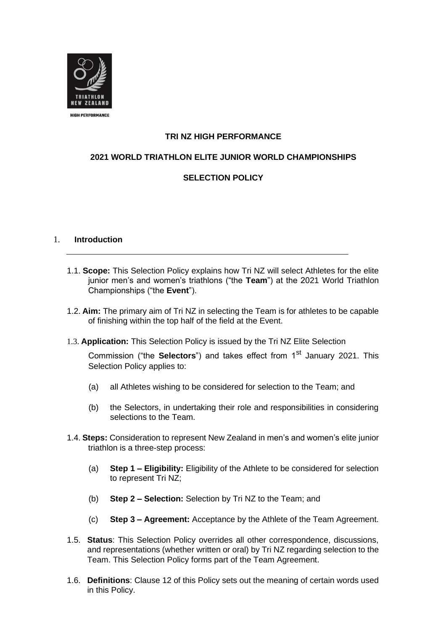

# **TRI NZ HIGH PERFORMANCE**

# **2021 WORLD TRIATHLON ELITE JUNIOR WORLD CHAMPIONSHIPS**

# **SELECTION POLICY**

#### 1. **Introduction**

- 1.1. **Scope:** This Selection Policy explains how Tri NZ will select Athletes for the elite junior men's and women's triathlons ("the **Team**") at the 2021 World Triathlon Championships ("the **Event**").
- 1.2. **Aim:** The primary aim of Tri NZ in selecting the Team is for athletes to be capable of finishing within the top half of the field at the Event.
- 1.3. **Application:** This Selection Policy is issued by the Tri NZ Elite Selection

Commission ("the **Selectors**") and takes effect from 1<sup>st</sup> January 2021. This Selection Policy applies to:

- (a) all Athletes wishing to be considered for selection to the Team; and
- (b) the Selectors, in undertaking their role and responsibilities in considering selections to the Team.
- 1.4. **Steps:** Consideration to represent New Zealand in men's and women's elite junior triathlon is a three-step process:
	- (a) **Step 1 – Eligibility:** Eligibility of the Athlete to be considered for selection to represent Tri NZ;
	- (b) **Step 2 – Selection:** Selection by Tri NZ to the Team; and
	- (c) **Step 3 – Agreement:** Acceptance by the Athlete of the Team Agreement.
- 1.5. **Status**: This Selection Policy overrides all other correspondence, discussions, and representations (whether written or oral) by Tri NZ regarding selection to the Team. This Selection Policy forms part of the Team Agreement.
- 1.6. **Definitions**: Clause 12 of this Policy sets out the meaning of certain words used in this Policy.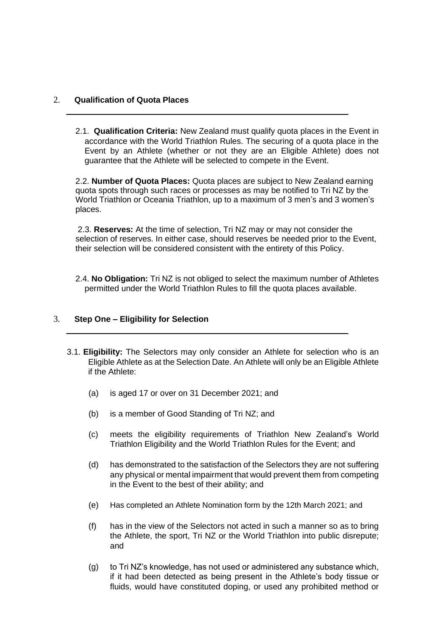#### 2. **Qualification of Quota Places**

2.1. **Qualification Criteria:** New Zealand must qualify quota places in the Event in accordance with the World Triathlon Rules. The securing of a quota place in the Event by an Athlete (whether or not they are an Eligible Athlete) does not guarantee that the Athlete will be selected to compete in the Event.

2.2. **Number of Quota Places:** Quota places are subject to New Zealand earning quota spots through such races or processes as may be notified to Tri NZ by the World Triathlon or Oceania Triathlon, up to a maximum of 3 men's and 3 women's places.

2.3. **Reserves:** At the time of selection, Tri NZ may or may not consider the selection of reserves. In either case, should reserves be needed prior to the Event, their selection will be considered consistent with the entirety of this Policy.

2.4. **No Obligation:** Tri NZ is not obliged to select the maximum number of Athletes permitted under the World Triathlon Rules to fill the quota places available.

# 3. **Step One – Eligibility for Selection**

- 3.1. **Eligibility:** The Selectors may only consider an Athlete for selection who is an Eligible Athlete as at the Selection Date. An Athlete will only be an Eligible Athlete if the Athlete:
	- (a) is aged 17 or over on 31 December 2021; and
	- (b) is a member of Good Standing of Tri NZ; and
	- (c) meets the eligibility requirements of Triathlon New Zealand's World Triathlon Eligibility and the World Triathlon Rules for the Event; and
	- (d) has demonstrated to the satisfaction of the Selectors they are not suffering any physical or mental impairment that would prevent them from competing in the Event to the best of their ability; and
	- (e) Has completed an Athlete Nomination form by the 12th March 2021; and
	- (f) has in the view of the Selectors not acted in such a manner so as to bring the Athlete, the sport, Tri NZ or the World Triathlon into public disrepute; and
	- (g) to Tri NZ's knowledge, has not used or administered any substance which, if it had been detected as being present in the Athlete's body tissue or fluids, would have constituted doping, or used any prohibited method or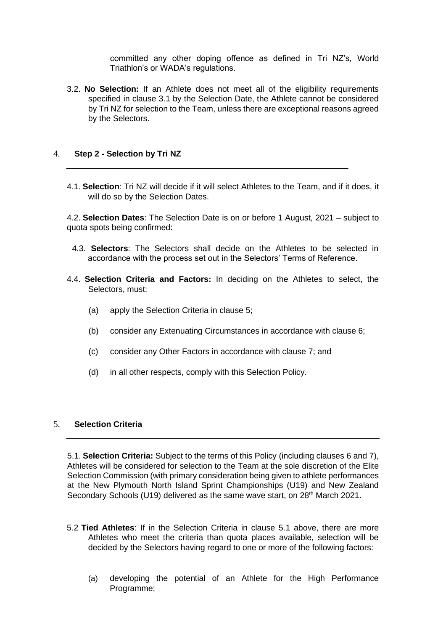committed any other doping offence as defined in Tri NZ's, World Triathlon's or WADA's regulations.

3.2. **No Selection:** If an Athlete does not meet all of the eligibility requirements specified in clause 3.1 by the Selection Date, the Athlete cannot be considered by Tri NZ for selection to the Team, unless there are exceptional reasons agreed by the Selectors.

#### 4. **Step 2 - Selection by Tri NZ**

4.1. **Selection**: Tri NZ will decide if it will select Athletes to the Team, and if it does, it will do so by the Selection Dates.

4.2. **Selection Dates**: The Selection Date is on or before 1 August, 2021 – subject to quota spots being confirmed:

- 4.3. **Selectors**: The Selectors shall decide on the Athletes to be selected in accordance with the process set out in the Selectors' Terms of Reference.
- 4.4. **Selection Criteria and Factors:** In deciding on the Athletes to select, the Selectors, must:
	- (a) apply the Selection Criteria in clause 5;
	- (b) consider any Extenuating Circumstances in accordance with clause 6;
	- (c) consider any Other Factors in accordance with clause 7; and
	- (d) in all other respects, comply with this Selection Policy.

#### 5. **Selection Criteria**

5.1. **Selection Criteria:** Subject to the terms of this Policy (including clauses 6 and 7), Athletes will be considered for selection to the Team at the sole discretion of the Elite Selection Commission (with primary consideration being given to athlete performances at the New Plymouth North Island Sprint Championships (U19) and New Zealand Secondary Schools (U19) delivered as the same wave start, on 28<sup>th</sup> March 2021.

- 5.2 **Tied Athletes**: If in the Selection Criteria in clause 5.1 above, there are more Athletes who meet the criteria than quota places available, selection will be decided by the Selectors having regard to one or more of the following factors:
	- (a) developing the potential of an Athlete for the High Performance Programme;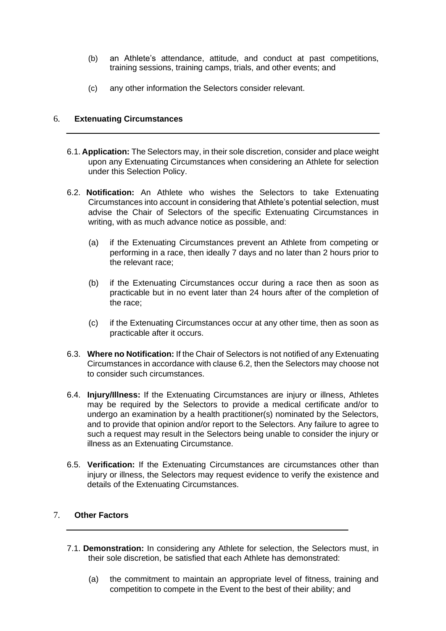- (b) an Athlete's attendance, attitude, and conduct at past competitions, training sessions, training camps, trials, and other events; and
- (c) any other information the Selectors consider relevant.

# 6. **Extenuating Circumstances**

- 6.1. **Application:** The Selectors may, in their sole discretion, consider and place weight upon any Extenuating Circumstances when considering an Athlete for selection under this Selection Policy.
- 6.2. **Notification:** An Athlete who wishes the Selectors to take Extenuating Circumstances into account in considering that Athlete's potential selection, must advise the Chair of Selectors of the specific Extenuating Circumstances in writing, with as much advance notice as possible, and:
	- (a) if the Extenuating Circumstances prevent an Athlete from competing or performing in a race, then ideally 7 days and no later than 2 hours prior to the relevant race;
	- (b) if the Extenuating Circumstances occur during a race then as soon as practicable but in no event later than 24 hours after of the completion of the race;
	- (c) if the Extenuating Circumstances occur at any other time, then as soon as practicable after it occurs.
- 6.3. **Where no Notification:** If the Chair of Selectors is not notified of any Extenuating Circumstances in accordance with clause 6.2, then the Selectors may choose not to consider such circumstances.
- 6.4. **Injury/Illness:** If the Extenuating Circumstances are injury or illness, Athletes may be required by the Selectors to provide a medical certificate and/or to undergo an examination by a health practitioner(s) nominated by the Selectors, and to provide that opinion and/or report to the Selectors. Any failure to agree to such a request may result in the Selectors being unable to consider the injury or illness as an Extenuating Circumstance.
- 6.5. **Verification:** If the Extenuating Circumstances are circumstances other than injury or illness, the Selectors may request evidence to verify the existence and details of the Extenuating Circumstances.

# 7. **Other Factors**

- 7.1. **Demonstration:** In considering any Athlete for selection, the Selectors must, in their sole discretion, be satisfied that each Athlete has demonstrated:
	- (a) the commitment to maintain an appropriate level of fitness, training and competition to compete in the Event to the best of their ability; and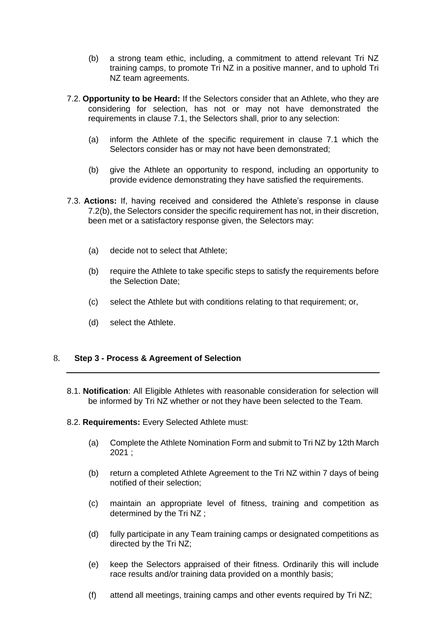- (b) a strong team ethic, including, a commitment to attend relevant Tri NZ training camps, to promote Tri NZ in a positive manner, and to uphold Tri NZ team agreements.
- 7.2. **Opportunity to be Heard:** If the Selectors consider that an Athlete, who they are considering for selection, has not or may not have demonstrated the requirements in clause 7.1, the Selectors shall, prior to any selection:
	- (a) inform the Athlete of the specific requirement in clause 7.1 which the Selectors consider has or may not have been demonstrated;
	- (b) give the Athlete an opportunity to respond, including an opportunity to provide evidence demonstrating they have satisfied the requirements.
- 7.3. **Actions:** If, having received and considered the Athlete's response in clause 7.2(b), the Selectors consider the specific requirement has not, in their discretion, been met or a satisfactory response given, the Selectors may:
	- (a) decide not to select that Athlete;
	- (b) require the Athlete to take specific steps to satisfy the requirements before the Selection Date;
	- (c) select the Athlete but with conditions relating to that requirement; or,
	- (d) select the Athlete.

## 8. **Step 3 - Process & Agreement of Selection**

- 8.1. **Notification**: All Eligible Athletes with reasonable consideration for selection will be informed by Tri NZ whether or not they have been selected to the Team.
- 8.2. **Requirements:** Every Selected Athlete must:
	- (a) Complete the Athlete Nomination Form and submit to Tri NZ by 12th March 2021 ;
	- (b) return a completed Athlete Agreement to the Tri NZ within 7 days of being notified of their selection;
	- (c) maintain an appropriate level of fitness, training and competition as determined by the Tri NZ ;
	- (d) fully participate in any Team training camps or designated competitions as directed by the Tri NZ;
	- (e) keep the Selectors appraised of their fitness. Ordinarily this will include race results and/or training data provided on a monthly basis;
	- (f) attend all meetings, training camps and other events required by Tri NZ;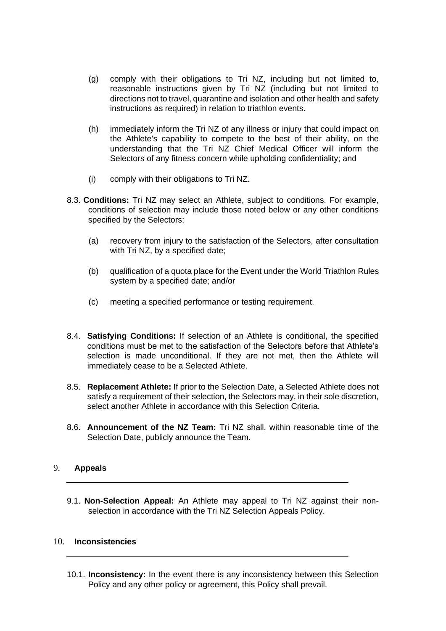- (g) comply with their obligations to Tri NZ, including but not limited to, reasonable instructions given by Tri NZ (including but not limited to directions not to travel, quarantine and isolation and other health and safety instructions as required) in relation to triathlon events.
- (h) immediately inform the Tri NZ of any illness or injury that could impact on the Athlete's capability to compete to the best of their ability, on the understanding that the Tri NZ Chief Medical Officer will inform the Selectors of any fitness concern while upholding confidentiality; and
- (i) comply with their obligations to Tri NZ.
- 8.3. **Conditions:** Tri NZ may select an Athlete, subject to conditions. For example, conditions of selection may include those noted below or any other conditions specified by the Selectors:
	- (a) recovery from injury to the satisfaction of the Selectors, after consultation with Tri NZ, by a specified date;
	- (b) qualification of a quota place for the Event under the World Triathlon Rules system by a specified date; and/or
	- (c) meeting a specified performance or testing requirement.
- 8.4. **Satisfying Conditions:** If selection of an Athlete is conditional, the specified conditions must be met to the satisfaction of the Selectors before that Athlete's selection is made unconditional. If they are not met, then the Athlete will immediately cease to be a Selected Athlete.
- 8.5. **Replacement Athlete:** If prior to the Selection Date, a Selected Athlete does not satisfy a requirement of their selection, the Selectors may, in their sole discretion, select another Athlete in accordance with this Selection Criteria.
- 8.6. **Announcement of the NZ Team:** Tri NZ shall, within reasonable time of the Selection Date, publicly announce the Team.

#### 9. **Appeals**

9.1. **Non-Selection Appeal:** An Athlete may appeal to Tri NZ against their nonselection in accordance with the Tri NZ Selection Appeals Policy.

#### 10. **Inconsistencies**

10.1. **Inconsistency:** In the event there is any inconsistency between this Selection Policy and any other policy or agreement, this Policy shall prevail.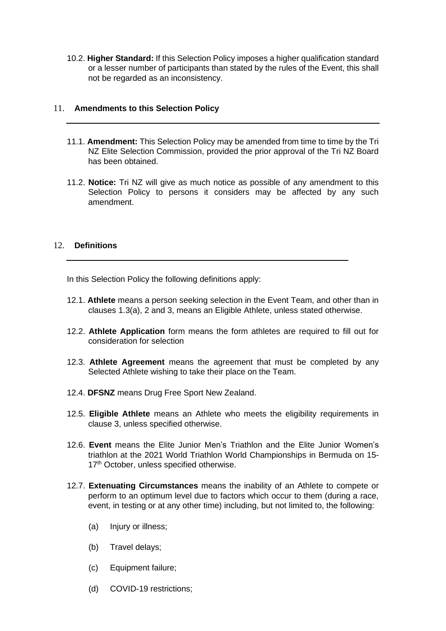10.2. **Higher Standard:** If this Selection Policy imposes a higher qualification standard or a lesser number of participants than stated by the rules of the Event, this shall not be regarded as an inconsistency.

#### 11. **Amendments to this Selection Policy**

- 11.1. **Amendment:** This Selection Policy may be amended from time to time by the Tri NZ Elite Selection Commission, provided the prior approval of the Tri NZ Board has been obtained.
- 11.2. **Notice:** Tri NZ will give as much notice as possible of any amendment to this Selection Policy to persons it considers may be affected by any such amendment.

#### 12. **Definitions**

In this Selection Policy the following definitions apply:

- 12.1. **Athlete** means a person seeking selection in the Event Team, and other than in clauses 1.3(a), 2 and 3, means an Eligible Athlete, unless stated otherwise.
- 12.2. **Athlete Application** form means the form athletes are required to fill out for consideration for selection
- 12.3. **Athlete Agreement** means the agreement that must be completed by any Selected Athlete wishing to take their place on the Team.
- 12.4. **DFSNZ** means Drug Free Sport New Zealand.
- 12.5. **Eligible Athlete** means an Athlete who meets the eligibility requirements in clause 3, unless specified otherwise.
- 12.6. **Event** means the Elite Junior Men's Triathlon and the Elite Junior Women's triathlon at the 2021 World Triathlon World Championships in Bermuda on 15- 17<sup>th</sup> October, unless specified otherwise.
- 12.7. **Extenuating Circumstances** means the inability of an Athlete to compete or perform to an optimum level due to factors which occur to them (during a race, event, in testing or at any other time) including, but not limited to, the following:
	- (a) Injury or illness;
	- (b) Travel delays;
	- (c) Equipment failure;
	- (d) COVID-19 restrictions;